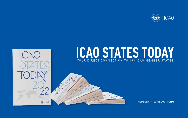MEMBER STATES **FILL OUT FORM**



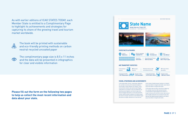### **PAGE 2** OF 5

As with earlier editions of ICAO STATES TODAY, each Member State is entitled to a Complimentary Page to highlight its achievements and strategies for capturing its share of the growing travel and tourism market worldwide.



**Please fill out the form on the following two pages to help us collect the most recent information and data about your state.**





**STATE FACTS & FIGURES** 





**International Traffic** 1 349 755 passengers

### **VISION, STRATEGIES AND ACHIEVEMENTS**

Lorem ipsum dolor sit amet, consectetuer adipiscing elit, sed diam nonummy nibh euismod tincidunt ut laoreet dolore magna aliquam erat volutpat. Ut wisi enim ad minim veniam, quis nostrud exerci feugait nulla tation vel accumsan et iusto odio dignissim qui blandit praesent luptatum zzril delenit augue duis dolore te feugait nulla facilisi. Ut wisi enim ad minim veniam, blandit praesent luptatum zzril delenit augue duis dolore te feugait nulla facilisi. Azzril delenit augue duis dolore te feugait nulla facilisi. Ut wisi enim ad

ICAO STATES TODAY 2022

# **State Name**

w.website.com | Email. info@website.com



minim veniam, blandit praesent luptatum zzril delenit augue duis dolore te feugait nulla facilisi. Azzril delenit augue duis dolore te feugait nulla facilisi.

Lorem ipsum dolor sit amet, consectetuer adipiscing elit, sed diam nonummy nibh euismod tincidunt ut laoreet dolore magna aliquam erat volutpat. Ut feugait nulla wisi enim ad minim veniam, quis nostrud exerci feugait nulla tation vel accumsan et iusto odio dignissim qui blandit praesent luptatum zzril delenit augue duis dolore te feugait nulla facilisi.

The book will be printed with sustainable and eco-friendly printing methods on carbon neutral recycled uncoated paper



The complimentary page size is 8.5 x 11 inches and the data will be presented in infographics for clear and visibile information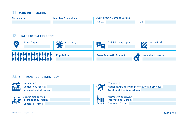**PAGE 3** OF 5

## **STATE FACTS & FIGURES\*** 02.



### **AIR TRANSPORT STATISTICS\*** 03.



# 01. **MAIN INFORMATION**

| <b>State Name</b> | <b>Member State since</b> | <b>DGCA or CAA Contact Details</b> |  |
|-------------------|---------------------------|------------------------------------|--|
|                   |                           | Website:                           |  |

## *Website: Email:*

# National Airlines with International Services: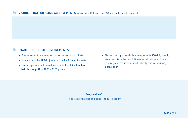**PAGE 4** OF 5

## **VISION, STRATEGIES AND ACHIEVEMENTS** (maximum 150 words or 975 characters with spaces) 04.

## **05. IMAGES TECHNICAL REQUIREMENTS**

- Please submit **two** images that represents your State
- Images must be **JPEG** (.jpeg/.jpg) or **PNG** (.png) formats
- Landscape image dimensions should be of **6 x 4 inches (width x height)** or 1800 x 1200 pixels.

• Please use **high resolution** images with **300 dpi,** simply because this is the resolution of most printers. This will ensure your image prints with clarity and without any

pixellization.

## **Are you done?**

Please save this pdf and send it to **IST**@icao.int